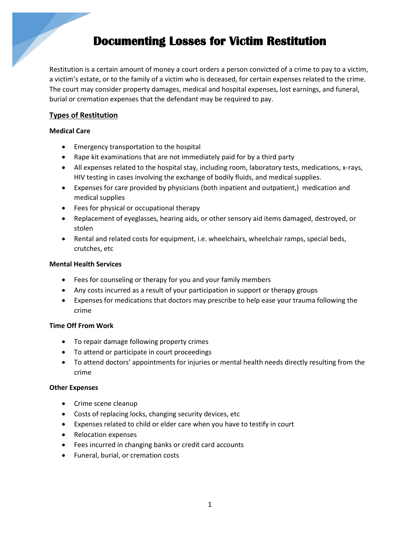## **Documenting Losses for Victim Restitution**

Restitution is a certain amount of money a court orders a person convicted of a crime to pay to a victim, a victim's estate, or to the family of a victim who is deceased, for certain expenses related to the crime. The court may consider property damages, medical and hospital expenses, lost earnings, and funeral, burial or cremation expenses that the defendant may be required to pay.

## **Types of Restitution**

## **Medical Care**

- **•** Emergency transportation to the hospital
- Rape kit examinations that are not immediately paid for by a third party
- All expenses related to the hospital stay, including room, laboratory tests, medications, x-rays, HIV testing in cases involving the exchange of bodily fluids, and medical supplies.
- Expenses for care provided by physicians (both inpatient and outpatient,) medication and medical supplies
- Fees for physical or occupational therapy
- Replacement of eyeglasses, hearing aids, or other sensory aid items damaged, destroyed, or stolen
- Rental and related costs for equipment, i.e. wheelchairs, wheelchair ramps, special beds, crutches, etc

## **Mental Health Services**

- Fees for counseling or therapy for you and your family members
- Any costs incurred as a result of your participation in support or therapy groups
- Expenses for medications that doctors may prescribe to help ease your trauma following the crime

## **Time Off From Work**

- To repair damage following property crimes
- To attend or participate in court proceedings
- To attend doctors' appointments for injuries or mental health needs directly resulting from the crime

## **Other Expenses**

- Crime scene cleanup
- Costs of replacing locks, changing security devices, etc
- Expenses related to child or elder care when you have to testify in court
- Relocation expenses
- Fees incurred in changing banks or credit card accounts
- Funeral, burial, or cremation costs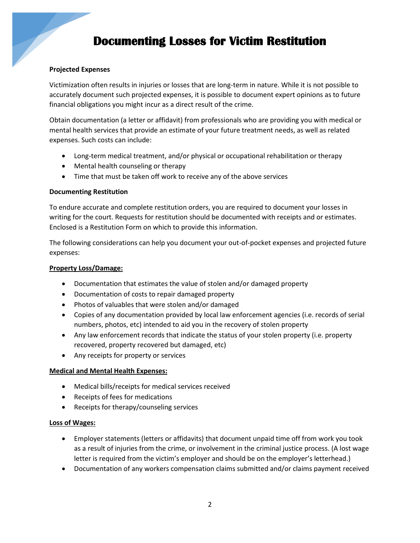# **Documenting Losses for Victim Restitution**

### **Projected Expenses**

Victimization often results in injuries or losses that are long-term in nature. While it is not possible to accurately document such projected expenses, it is possible to document expert opinions as to future financial obligations you might incur as a direct result of the crime.

Obtain documentation (a letter or affidavit) from professionals who are providing you with medical or mental health services that provide an estimate of your future treatment needs, as well as related expenses. Such costs can include:

- Long-term medical treatment, and/or physical or occupational rehabilitation or therapy
- Mental health counseling or therapy
- Time that must be taken off work to receive any of the above services

#### **Documenting Restitution**

To endure accurate and complete restitution orders, you are required to document your losses in writing for the court. Requests for restitution should be documented with receipts and or estimates. Enclosed is a Restitution Form on which to provide this information.

The following considerations can help you document your out-of-pocket expenses and projected future expenses:

#### **Property Loss/Damage:**

- Documentation that estimates the value of stolen and/or damaged property
- Documentation of costs to repair damaged property
- Photos of valuables that were stolen and/or damaged
- Copies of any documentation provided by local law enforcement agencies (i.e. records of serial numbers, photos, etc) intended to aid you in the recovery of stolen property
- Any law enforcement records that indicate the status of your stolen property (i.e. property recovered, property recovered but damaged, etc)
- Any receipts for property or services

#### **Medical and Mental Health Expenses:**

- Medical bills/receipts for medical services received
- Receipts of fees for medications
- Receipts for therapy/counseling services

#### **Loss of Wages:**

- Employer statements (letters or affidavits) that document unpaid time off from work you took as a result of injuries from the crime, or involvement in the criminal justice process. (A lost wage letter is required from the victim's employer and should be on the employer's letterhead.)
- Documentation of any workers compensation claims submitted and/or claims payment received